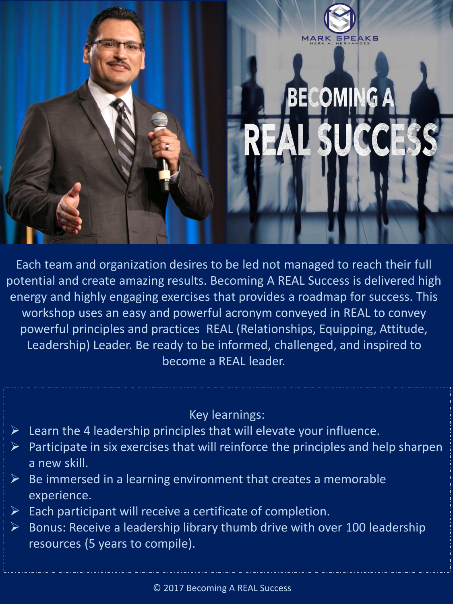

Each team and organization desires to be led not managed to reach their full potential and create amazing results. Becoming A REAL Success is delivered high energy and highly engaging exercises that provides a roadmap for success. This workshop uses an easy and powerful acronym conveyed in REAL to convey powerful principles and practices REAL (Relationships, Equipping, Attitude, Leadership) Leader. Be ready to be informed, challenged, and inspired to become a REAL leader.

Key learnings:

- $\triangleright$  Learn the 4 leadership principles that will elevate your influence.
- $\triangleright$  Participate in six exercises that will reinforce the principles and help sharpen a new skill.
- $\triangleright$  Be immersed in a learning environment that creates a memorable experience.
- $\triangleright$  Each participant will receive a certificate of completion.
- $\triangleright$  Bonus: Receive a leadership library thumb drive with over 100 leadership resources (5 years to compile).